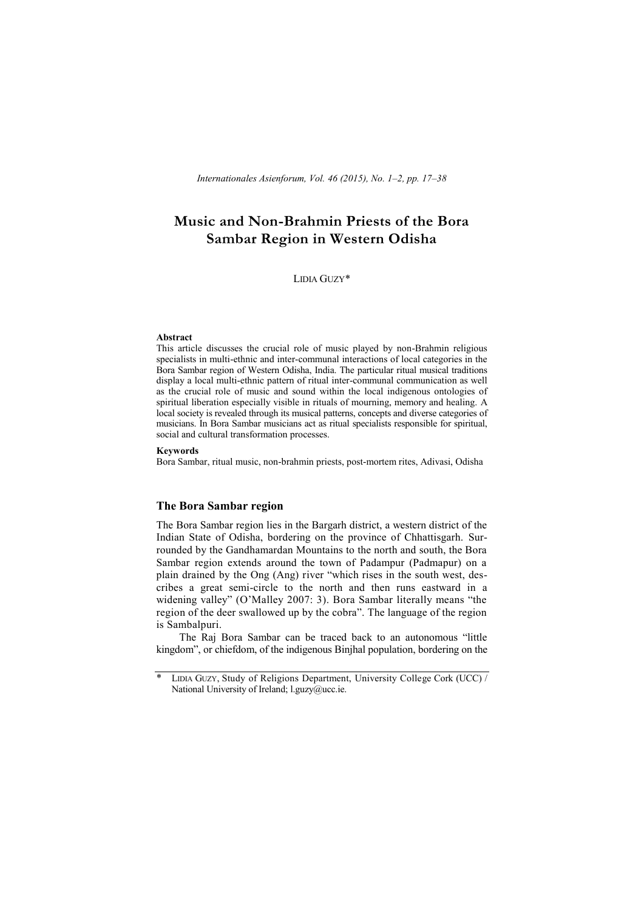# **Music and Non-Brahmin Priests of the Bora Sambar Region in Western Odisha**

LIDIA GUZY\*

#### **Abstract**

This article discusses the crucial role of music played by non-Brahmin religious specialists in multi-ethnic and inter-communal interactions of local categories in the Bora Sambar region of Western Odisha, India. The particular ritual musical traditions display a local multi-ethnic pattern of ritual inter-communal communication as well as the crucial role of music and sound within the local indigenous ontologies of spiritual liberation especially visible in rituals of mourning, memory and healing. A local society is revealed through its musical patterns, concepts and diverse categories of musicians. In Bora Sambar musicians act as ritual specialists responsible for spiritual, social and cultural transformation processes.

#### **Keywords**

Bora Sambar, ritual music, non-brahmin priests, post-mortem rites, Adivasi, Odisha

## **The Bora Sambar region**

The Bora Sambar region lies in the Bargarh district, a western district of the Indian State of Odisha, bordering on the province of Chhattisgarh. Surrounded by the Gandhamardan Mountains to the north and south, the Bora Sambar region extends around the town of Padampur (Padmapur) on a plain drained by the Ong (Ang) river "which rises in the south west, describes a great semi-circle to the north and then runs eastward in a widening valley" (O'Malley 2007: 3). Bora Sambar literally means "the region of the deer swallowed up by the cobra". The language of the region is Sambalpuri.

The Raj Bora Sambar can be traced back to an autonomous "little kingdom", or chiefdom, of the indigenous Binjhal population, bordering on the

<sup>\*</sup> LIDIA GUZY, Study of Religions Department, University College Cork (UCC) / National University of Ireland; l.guzy@ucc.ie.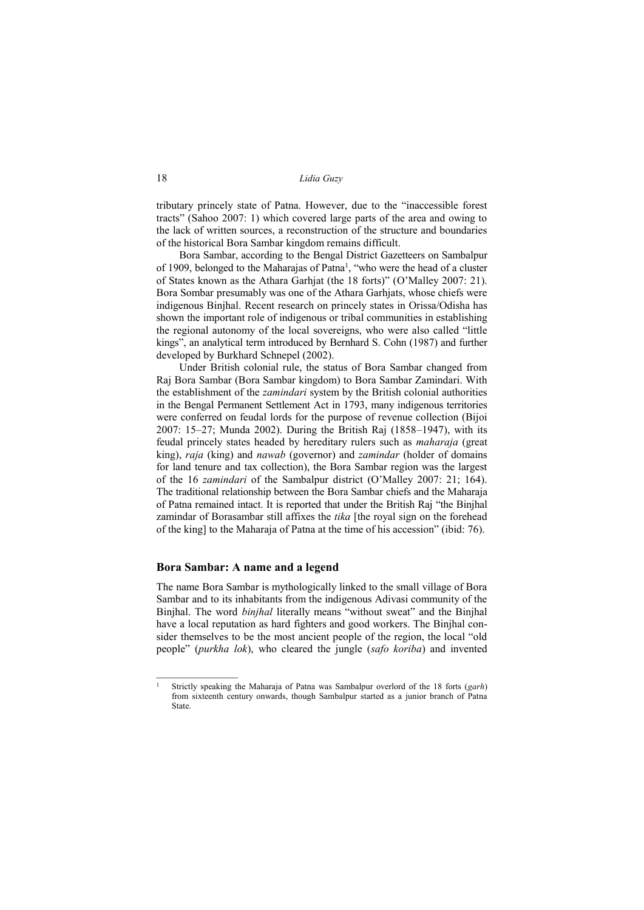tributary princely state of Patna. However, due to the "inaccessible forest tracts" (Sahoo 2007: 1) which covered large parts of the area and owing to the lack of written sources, a reconstruction of the structure and boundaries of the historical Bora Sambar kingdom remains difficult.

Bora Sambar, according to the Bengal District Gazetteers on Sambalpur of 1909, belonged to the Maharajas of Patna<sup>1</sup>, "who were the head of a cluster of States known as the Athara Garhjat (the 18 forts)" (O'Malley 2007: 21). Bora Sombar presumably was one of the Athara Garhjats, whose chiefs were indigenous Binjhal. Recent research on princely states in Orissa/Odisha has shown the important role of indigenous or tribal communities in establishing the regional autonomy of the local sovereigns, who were also called "little kings", an analytical term introduced by Bernhard S. Cohn (1987) and further developed by Burkhard Schnepel (2002).

Under British colonial rule, the status of Bora Sambar changed from Raj Bora Sambar (Bora Sambar kingdom) to Bora Sambar Zamindari. With the establishment of the *zamindari* system by the British colonial authorities in the Bengal Permanent Settlement Act in 1793, many indigenous territories were conferred on feudal lords for the purpose of revenue collection (Bijoi 2007: 15–27; Munda 2002). During the British Raj (1858–1947), with its feudal princely states headed by hereditary rulers such as *maharaja* (great king), *raja* (king) and *nawab* (governor) and *zamindar* (holder of domains for land tenure and tax collection), the Bora Sambar region was the largest of the 16 *zamindari* of the Sambalpur district (O'Malley 2007: 21; 164). The traditional relationship between the Bora Sambar chiefs and the Maharaja of Patna remained intact. It is reported that under the British Raj "the Binjhal zamindar of Borasambar still affixes the *tika* [the royal sign on the forehead of the king] to the Maharaja of Patna at the time of his accession" (ibid: 76).

#### **Bora Sambar: A name and a legend**

 $\mathcal{L}$  , we have the set of  $\mathcal{L}$ 

The name Bora Sambar is mythologically linked to the small village of Bora Sambar and to its inhabitants from the indigenous Adivasi community of the Binjhal. The word *binjhal* literally means "without sweat" and the Binjhal have a local reputation as hard fighters and good workers. The Binjhal consider themselves to be the most ancient people of the region, the local "old people" (*purkha lok*), who cleared the jungle (*safo koriba*) and invented

<sup>1</sup> Strictly speaking the Maharaja of Patna was Sambalpur overlord of the 18 forts (*garh*) from sixteenth century onwards, though Sambalpur started as a junior branch of Patna State.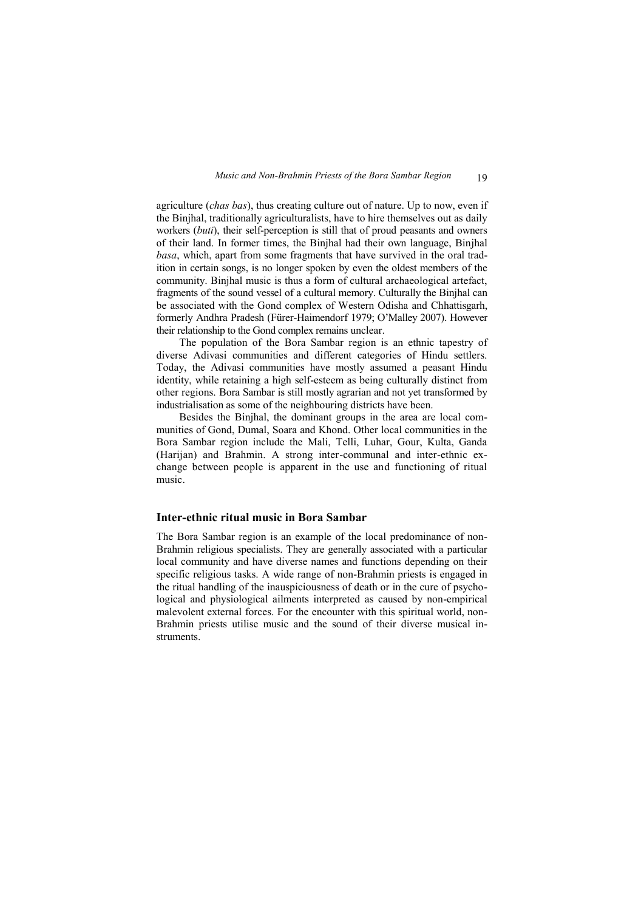agriculture (*chas bas*), thus creating culture out of nature. Up to now, even if the Binjhal, traditionally agriculturalists, have to hire themselves out as daily workers (*buti*), their self-perception is still that of proud peasants and owners of their land. In former times, the Binjhal had their own language, Binjhal *basa*, which, apart from some fragments that have survived in the oral tradition in certain songs, is no longer spoken by even the oldest members of the community. Binjhal music is thus a form of cultural archaeological artefact, fragments of the sound vessel of a cultural memory. Culturally the Binjhal can be associated with the Gond complex of Western Odisha and Chhattisgarh, formerly Andhra Pradesh (Fürer-Haimendorf 1979; O'Malley 2007). However their relationship to the Gond complex remains unclear.

The population of the Bora Sambar region is an ethnic tapestry of diverse Adivasi communities and different categories of Hindu settlers. Today, the Adivasi communities have mostly assumed a peasant Hindu identity, while retaining a high self-esteem as being culturally distinct from other regions. Bora Sambar is still mostly agrarian and not yet transformed by industrialisation as some of the neighbouring districts have been.

Besides the Binjhal, the dominant groups in the area are local communities of Gond, Dumal, Soara and Khond. Other local communities in the Bora Sambar region include the Mali, Telli, Luhar, Gour, Kulta, Ganda (Harijan) and Brahmin. A strong inter-communal and inter-ethnic exchange between people is apparent in the use and functioning of ritual music.

## **Inter-ethnic ritual music in Bora Sambar**

The Bora Sambar region is an example of the local predominance of non-Brahmin religious specialists. They are generally associated with a particular local community and have diverse names and functions depending on their specific religious tasks. A wide range of non-Brahmin priests is engaged in the ritual handling of the inauspiciousness of death or in the cure of psychological and physiological ailments interpreted as caused by non-empirical malevolent external forces. For the encounter with this spiritual world, non-Brahmin priests utilise music and the sound of their diverse musical instruments.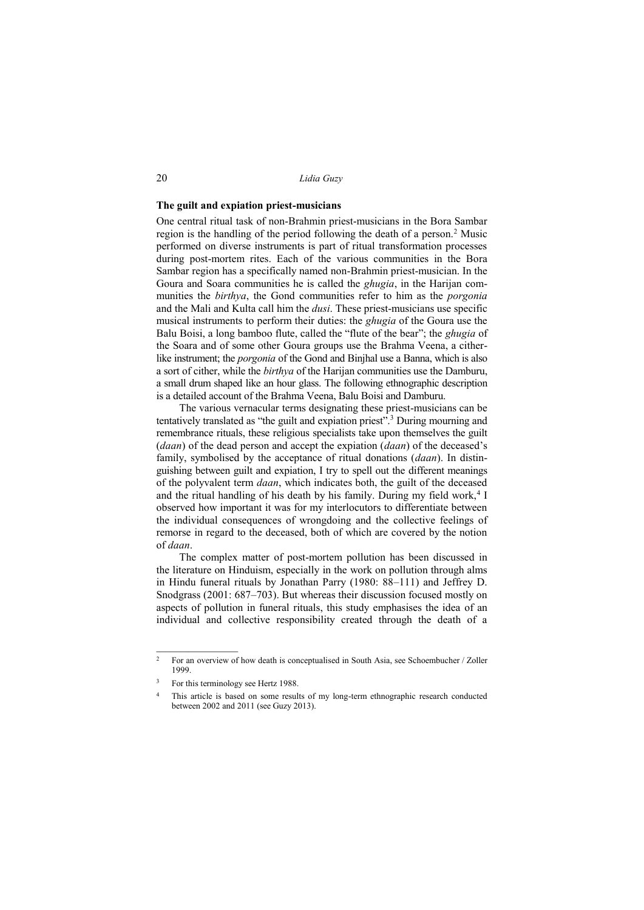#### **The guilt and expiation priest-musicians**

One central ritual task of non-Brahmin priest-musicians in the Bora Sambar region is the handling of the period following the death of a person.<sup>2</sup> Music performed on diverse instruments is part of ritual transformation processes during post-mortem rites. Each of the various communities in the Bora Sambar region has a specifically named non-Brahmin priest-musician. In the Goura and Soara communities he is called the *ghugia*, in the Harijan communities the *birthya*, the Gond communities refer to him as the *porgonia* and the Mali and Kulta call him the *dusi*. These priest-musicians use specific musical instruments to perform their duties: the *ghugia* of the Goura use the Balu Boisi, a long bamboo flute, called the "flute of the bear"; the *ghugia* of the Soara and of some other Goura groups use the Brahma Veena, a citherlike instrument; the *porgonia* of the Gond and Binjhal use a Banna, which is also a sort of cither, while the *birthya* of the Harijan communities use the Damburu, a small drum shaped like an hour glass. The following ethnographic description is a detailed account of the Brahma Veena, Balu Boisi and Damburu.

The various vernacular terms designating these priest-musicians can be tentatively translated as "the guilt and expiation priest".<sup>3</sup> During mourning and remembrance rituals, these religious specialists take upon themselves the guilt (*daan*) of the dead person and accept the expiation (*daan*) of the deceased's family, symbolised by the acceptance of ritual donations (*daan*). In distinguishing between guilt and expiation, I try to spell out the different meanings of the polyvalent term *daan*, which indicates both, the guilt of the deceased and the ritual handling of his death by his family. During my field work, $4$  I observed how important it was for my interlocutors to differentiate between the individual consequences of wrongdoing and the collective feelings of remorse in regard to the deceased, both of which are covered by the notion of *daan*.

The complex matter of post-mortem pollution has been discussed in the literature on Hinduism, especially in the work on pollution through alms in Hindu funeral rituals by Jonathan Parry (1980: 88–111) and Jeffrey D. Snodgrass (2001: 687–703). But whereas their discussion focused mostly on aspects of pollution in funeral rituals, this study emphasises the idea of an individual and collective responsibility created through the death of a

<sup>&</sup>lt;sup>2</sup> For an overview of how death is conceptualised in South Asia, see Schoembucher / Zoller 1999.

<sup>&</sup>lt;sup>3</sup> For this terminology see Hertz 1988.

<sup>&</sup>lt;sup>4</sup> This article is based on some results of my long-term ethnographic research conducted between 2002 and 2011 (see Guzy 2013).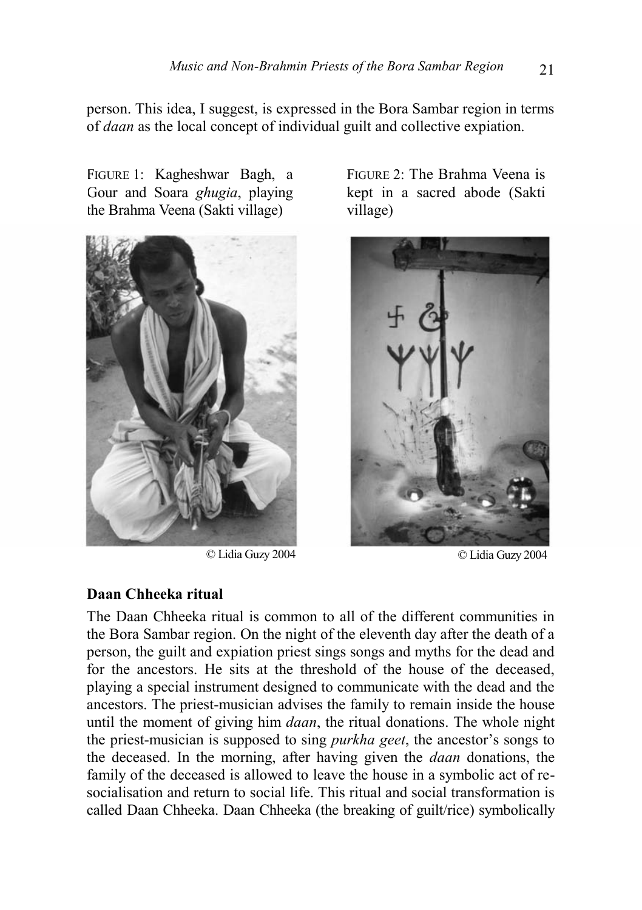person. This idea, I suggest, is expressed in the Bora Sambar region in terms of *daan* as the local concept of individual guilt and collective expiation.

FIGURE 1: Kagheshwar Bagh, a Gour and Soara *ghugia*, playing the Brahma Veena (Sakti village)



© Lidia Guzy 2004 © Lidia Guzy 2004

FIGURE 2: The Brahma Veena is kept in a sacred abode (Sakti village)



## **Daan Chheeka ritual**

The Daan Chheeka ritual is common to all of the different communities in the Bora Sambar region. On the night of the eleventh day after the death of a person, the guilt and expiation priest sings songs and myths for the dead and for the ancestors. He sits at the threshold of the house of the deceased, playing a special instrument designed to communicate with the dead and the ancestors. The priest-musician advises the family to remain inside the house until the moment of giving him *daan*, the ritual donations. The whole night the priest-musician is supposed to sing *purkha geet*, the ancestor's songs to the deceased. In the morning, after having given the *daan* donations, the family of the deceased is allowed to leave the house in a symbolic act of resocialisation and return to social life. This ritual and social transformation is called Daan Chheeka. Daan Chheeka (the breaking of guilt/rice) symbolically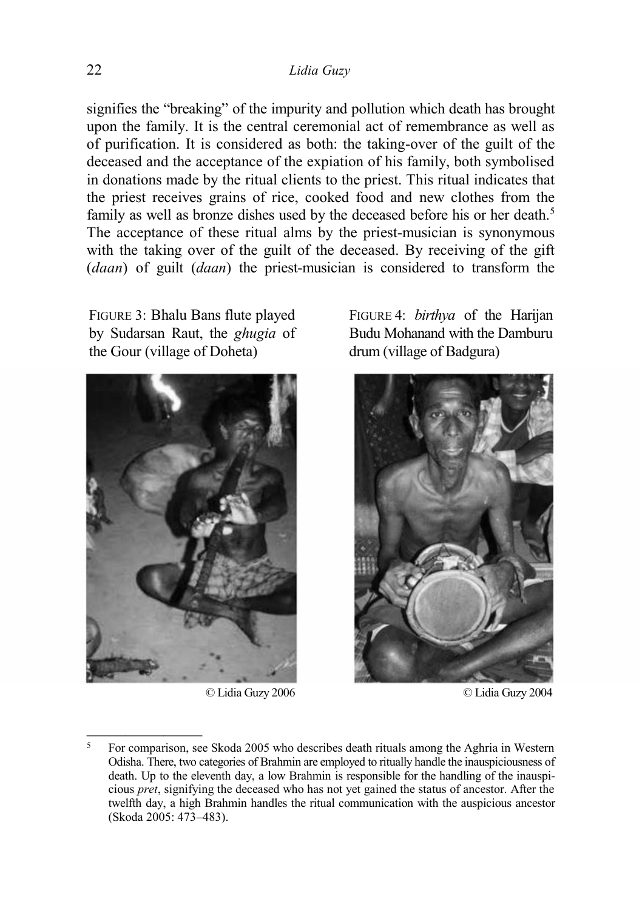signifies the "breaking" of the impurity and pollution which death has brought upon the family. It is the central ceremonial act of remembrance as well as of purification. It is considered as both: the taking-over of the guilt of the deceased and the acceptance of the expiation of his family, both symbolised in donations made by the ritual clients to the priest. This ritual indicates that the priest receives grains of rice, cooked food and new clothes from the family as well as bronze dishes used by the deceased before his or her death.<sup>5</sup> The acceptance of these ritual alms by the priest-musician is synonymous with the taking over of the guilt of the deceased. By receiving of the gift (*daan*) of guilt (*daan*) the priest-musician is considered to transform the

FIGURE 3: Bhalu Bans flute played by Sudarsan Raut, the *ghugia* of the Gour (village of Doheta)



© Lidia Guzy 2006 © Lidia Guzy 2004

FIGURE 4: *birthya* of the Harijan Budu Mohanand with the Damburu drum (village of Badgura)



<sup>5</sup> For comparison, see Skoda 2005 who describes death rituals among the Aghria in Western Odisha. There, two categories of Brahmin are employed to ritually handle the inauspiciousness of death. Up to the eleventh day, a low Brahmin is responsible for the handling of the inauspicious *pret*, signifying the deceased who has not yet gained the status of ancestor. After the twelfth day, a high Brahmin handles the ritual communication with the auspicious ancestor (Skoda 2005: 473–483).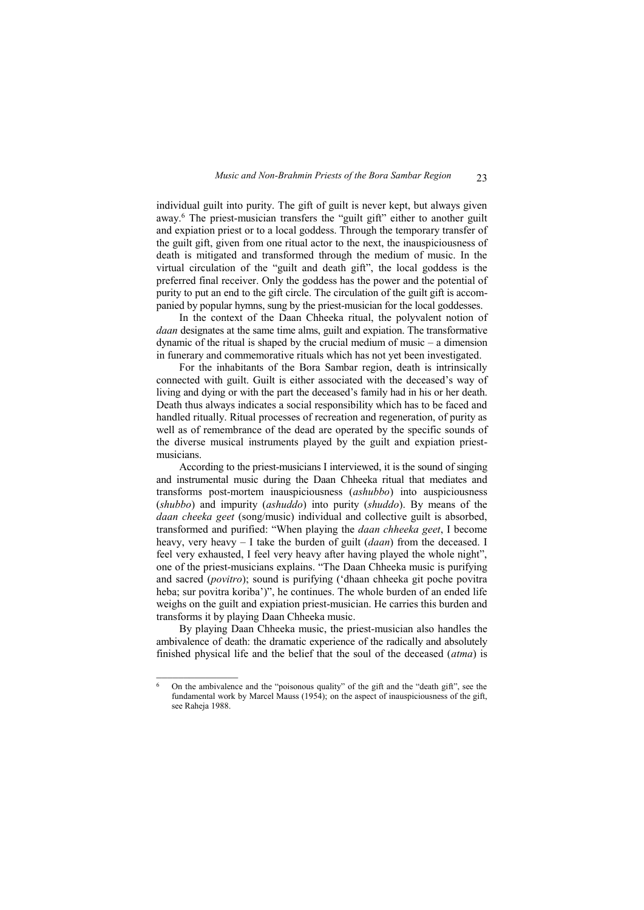individual guilt into purity. The gift of guilt is never kept, but always given away.<sup>6</sup> The priest-musician transfers the "guilt gift" either to another guilt and expiation priest or to a local goddess. Through the temporary transfer of the guilt gift, given from one ritual actor to the next, the inauspiciousness of death is mitigated and transformed through the medium of music. In the virtual circulation of the "guilt and death gift", the local goddess is the preferred final receiver. Only the goddess has the power and the potential of purity to put an end to the gift circle. The circulation of the guilt gift is accompanied by popular hymns, sung by the priest-musician for the local goddesses.

In the context of the Daan Chheeka ritual, the polyvalent notion of *daan* designates at the same time alms, guilt and expiation. The transformative dynamic of the ritual is shaped by the crucial medium of music – a dimension in funerary and commemorative rituals which has not yet been investigated.

For the inhabitants of the Bora Sambar region, death is intrinsically connected with guilt. Guilt is either associated with the deceased's way of living and dying or with the part the deceased's family had in his or her death. Death thus always indicates a social responsibility which has to be faced and handled ritually. Ritual processes of recreation and regeneration, of purity as well as of remembrance of the dead are operated by the specific sounds of the diverse musical instruments played by the guilt and expiation priestmusicians.

According to the priest-musicians I interviewed, it is the sound of singing and instrumental music during the Daan Chheeka ritual that mediates and transforms post-mortem inauspiciousness (*ashubbo*) into auspiciousness (*shubbo*) and impurity (*ashuddo*) into purity (*shuddo*). By means of the *daan cheeka geet* (song/music) individual and collective guilt is absorbed, transformed and purified: "When playing the *daan chheeka geet*, I become heavy, very heavy – I take the burden of guilt (*daan*) from the deceased. I feel very exhausted, I feel very heavy after having played the whole night", one of the priest-musicians explains. "The Daan Chheeka music is purifying and sacred (*povitro*); sound is purifying ('dhaan chheeka git poche povitra heba; sur povitra koriba')", he continues. The whole burden of an ended life weighs on the guilt and expiation priest-musician. He carries this burden and transforms it by playing Daan Chheeka music.

By playing Daan Chheeka music, the priest-musician also handles the ambivalence of death: the dramatic experience of the radically and absolutely finished physical life and the belief that the soul of the deceased (*atma*) is

<sup>6</sup> On the ambivalence and the "poisonous quality" of the gift and the "death gift", see the fundamental work by Marcel Mauss  $(1954)$ ; on the aspect of inauspiciousness of the gift, see Raheja 1988.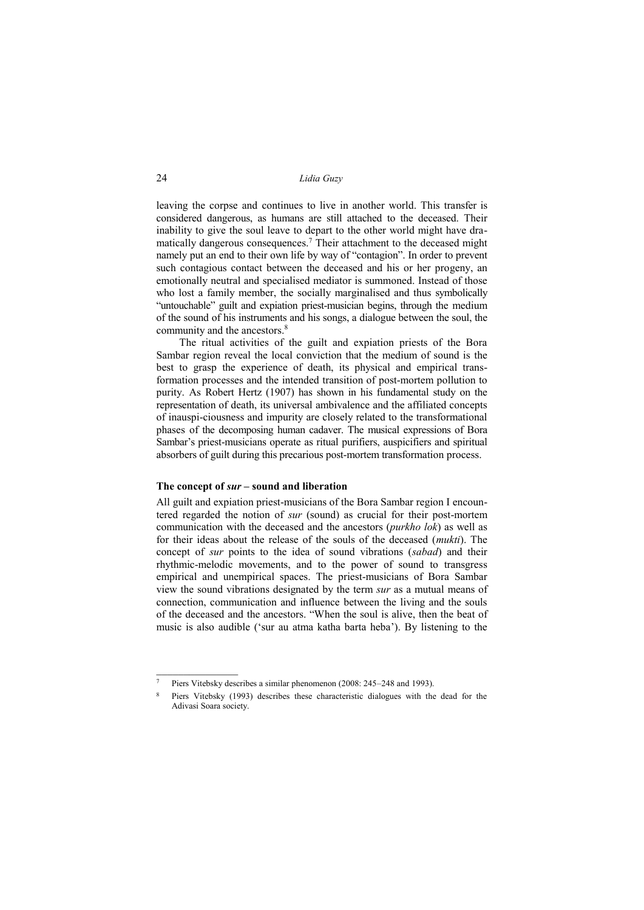## 24 *Lidia Guzy*

leaving the corpse and continues to live in another world. This transfer is considered dangerous, as humans are still attached to the deceased. Their inability to give the soul leave to depart to the other world might have dramatically dangerous consequences.<sup>7</sup> Their attachment to the deceased might namely put an end to their own life by way of "contagion". In order to prevent such contagious contact between the deceased and his or her progeny, an emotionally neutral and specialised mediator is summoned. Instead of those who lost a family member, the socially marginalised and thus symbolically "untouchable" guilt and expiation priest-musician begins, through the medium of the sound of his instruments and his songs, a dialogue between the soul, the community and the ancestors.<sup>8</sup>

The ritual activities of the guilt and expiation priests of the Bora Sambar region reveal the local conviction that the medium of sound is the best to grasp the experience of death, its physical and empirical transformation processes and the intended transition of post-mortem pollution to purity. As Robert Hertz (1907) has shown in his fundamental study on the representation of death, its universal ambivalence and the affiliated concepts of inauspi-ciousness and impurity are closely related to the transformational phases of the decomposing human cadaver. The musical expressions of Bora Sambar's priest-musicians operate as ritual purifiers, auspicifiers and spiritual absorbers of guilt during this precarious post-mortem transformation process.

### **The concept of** *sur* **– sound and liberation**

 $\mathcal{L}$  , we have the set of  $\mathcal{L}$ 

All guilt and expiation priest-musicians of the Bora Sambar region I encountered regarded the notion of *sur* (sound) as crucial for their post-mortem communication with the deceased and the ancestors (*purkho lok*) as well as for their ideas about the release of the souls of the deceased (*mukti*). The concept of *sur* points to the idea of sound vibrations (*sabad*) and their rhythmic-melodic movements, and to the power of sound to transgress empirical and unempirical spaces. The priest-musicians of Bora Sambar view the sound vibrations designated by the term *sur* as a mutual means of connection, communication and influence between the living and the souls of the deceased and the ancestors. "When the soul is alive, then the beat of music is also audible ('sur au atma katha barta heba'). By listening to the

<sup>7</sup> Piers Vitebsky describes a similar phenomenon (2008: 245–248 and 1993).

<sup>8</sup> Piers Vitebsky (1993) describes these characteristic dialogues with the dead for the Adivasi Soara society.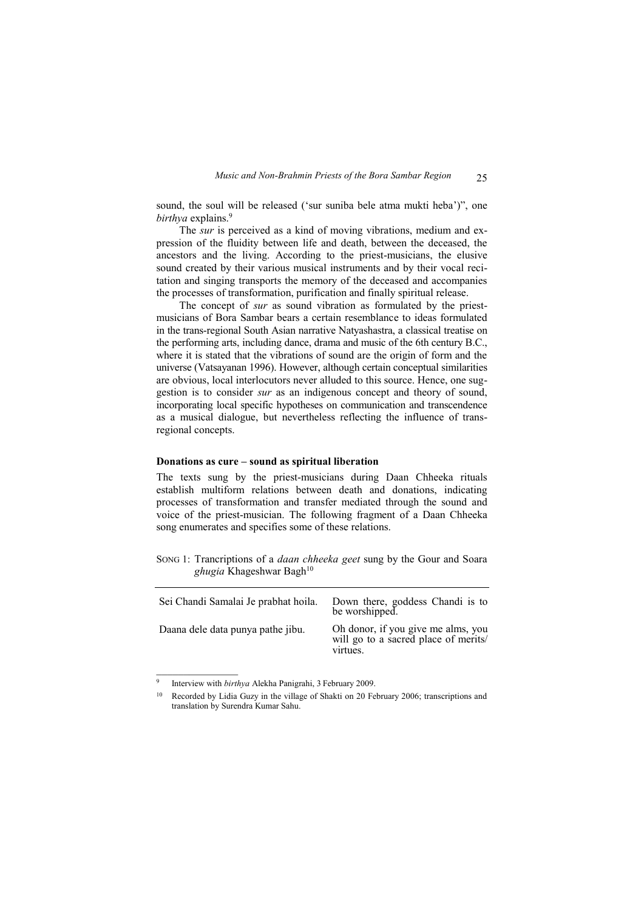sound, the soul will be released ('sur suniba bele atma mukti heba')", one *birthya* explains.<sup>9</sup>

The *sur* is perceived as a kind of moving vibrations, medium and expression of the fluidity between life and death, between the deceased, the ancestors and the living. According to the priest-musicians, the elusive sound created by their various musical instruments and by their vocal recitation and singing transports the memory of the deceased and accompanies the processes of transformation, purification and finally spiritual release.

The concept of *sur* as sound vibration as formulated by the priestmusicians of Bora Sambar bears a certain resemblance to ideas formulated in the trans-regional South Asian narrative Natyashastra, a classical treatise on the performing arts, including dance, drama and music of the 6th century B.C., where it is stated that the vibrations of sound are the origin of form and the universe (Vatsayanan 1996). However, although certain conceptual similarities are obvious, local interlocutors never alluded to this source. Hence, one suggestion is to consider *sur* as an indigenous concept and theory of sound, incorporating local specific hypotheses on communication and transcendence as a musical dialogue, but nevertheless reflecting the influence of transregional concepts.

#### **Donations as cure – sound as spiritual liberation**

The texts sung by the priest-musicians during Daan Chheeka rituals establish multiform relations between death and donations, indicating processes of transformation and transfer mediated through the sound and voice of the priest-musician. The following fragment of a Daan Chheeka song enumerates and specifies some of these relations.

SONG 1: Trancriptions of a *daan chheeka geet* sung by the Gour and Soara ghugia Khageshwar Bagh<sup>10</sup>

| Sei Chandi Samalai Je prabhat hoila. | Down there, goddess Chandi is to<br>be worshipped.                                     |
|--------------------------------------|----------------------------------------------------------------------------------------|
| Daana dele data punya pathe jibu.    | Oh donor, if you give me alms, you<br>will go to a sacred place of merits/<br>virtues. |

<sup>9</sup> Interview with *birthya* Alekha Panigrahi, 3 February 2009.

<sup>10</sup> Recorded by Lidia Guzy in the village of Shakti on 20 February 2006; transcriptions and translation by Surendra Kumar Sahu.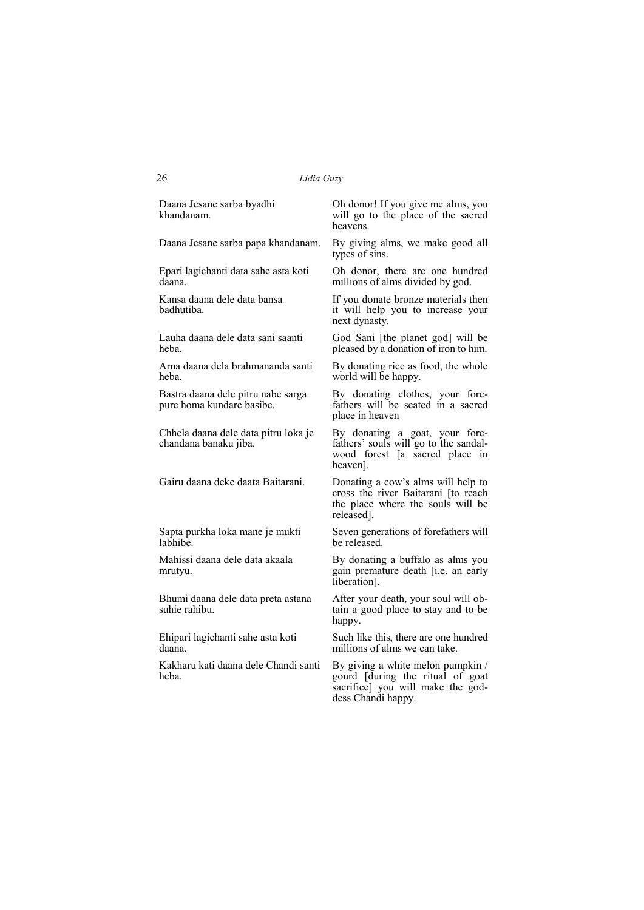Daana Jesane sarba byadhi khandanam.

Daana Jesane sarba papa khandanam.

Epari lagichanti data sahe asta koti daana.

Kansa daana dele data bansa badhutiba.

Lauha daana dele data sani saanti heba.

Arna daana dela brahmananda santi heba.

Bastra daana dele pitru nabe sarga pure homa kundare basibe.

Chhela daana dele data pitru loka je chandana banaku jiba.

Gairu daana deke daata Baitarani.

Sapta purkha loka mane je mukti labhibe.

Mahissi daana dele data akaala mrutyu.

Bhumi daana dele data preta astana suhie rahibu.

Ehipari lagichanti sahe asta koti daana.

Kakharu kati daana dele Chandi santi heba.

Oh donor! If you give me alms, you will go to the place of the sacred heavens.

By giving alms, we make good all types of sins.

Oh donor, there are one hundred millions of alms divided by god.

If you donate bronze materials then it will help you to increase your next dynasty.

God Sani [the planet god] will be pleased by a donation of iron to him.

By donating rice as food, the whole world will be happy.

By donating clothes, your forefathers will be seated in a sacred place in heaven

By donating a goat, your forefathers' souls will go to the sandalwood forest [a sacred place in heaven].

Donating a cow's alms will help to cross the river Baitarani [to reach the place where the souls will be released].

Seven generations of forefathers will be released.

By donating a buffalo as alms you gain premature death [i.e. an early liberation].

After your death, your soul will obtain a good place to stay and to be happy.

Such like this, there are one hundred millions of alms we can take.

By giving a white melon pumpkin / gourd [during the ritual of goat sacrificel you will make the goddess Chandi happy.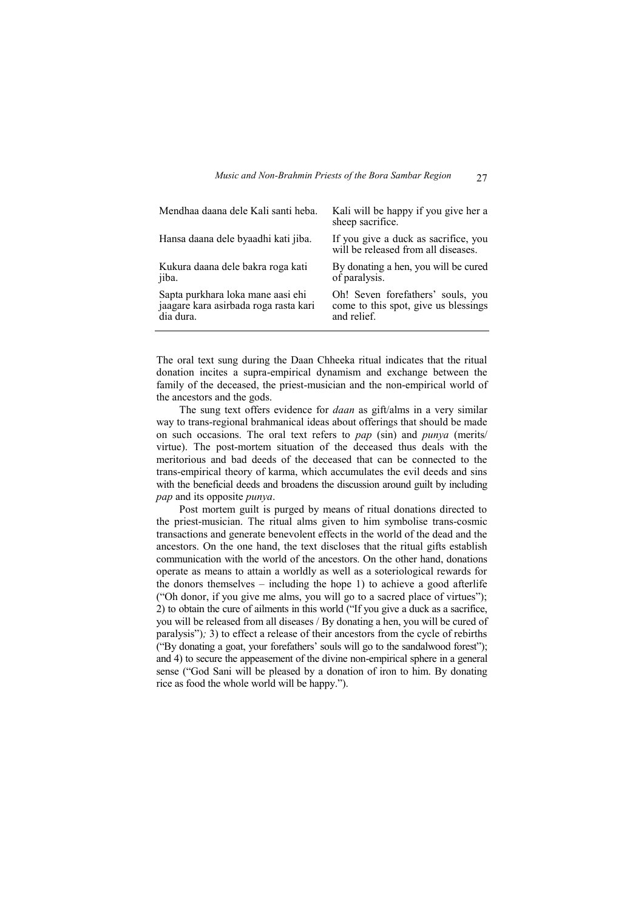| Mendhaa daana dele Kali santi heba.   | Kali will be happy if you give her a<br>sheep sacrifice.                    |
|---------------------------------------|-----------------------------------------------------------------------------|
| Hansa daana dele byaadhi kati jiba.   | If you give a duck as sacrifice, you<br>will be released from all diseases. |
| Kukura daana dele bakra roga kati     | By donating a hen, you will be cured                                        |
| jiba.                                 | of paralysis.                                                               |
| Sapta purkhara loka mane aasi ehi     | Oh! Seven forefathers' souls, you                                           |
| jaagare kara asirbada roga rasta kari | come to this spot, give us blessings                                        |
| dia dura.                             | and relief.                                                                 |

The oral text sung during the Daan Chheeka ritual indicates that the ritual donation incites a supra-empirical dynamism and exchange between the family of the deceased, the priest-musician and the non-empirical world of the ancestors and the gods.

The sung text offers evidence for *daan* as gift/alms in a very similar way to trans-regional brahmanical ideas about offerings that should be made on such occasions. The oral text refers to *pap* (sin) and *punya* (merits/ virtue). The post-mortem situation of the deceased thus deals with the meritorious and bad deeds of the deceased that can be connected to the trans-empirical theory of karma, which accumulates the evil deeds and sins with the beneficial deeds and broadens the discussion around guilt by including *pap* and its opposite *punya*.

Post mortem guilt is purged by means of ritual donations directed to the priest-musician. The ritual alms given to him symbolise trans-cosmic transactions and generate benevolent effects in the world of the dead and the ancestors. On the one hand, the text discloses that the ritual gifts establish communication with the world of the ancestors. On the other hand, donations operate as means to attain a worldly as well as a soteriological rewards for the donors themselves – including the hope 1) to achieve a good afterlife ("Oh donor, if you give me alms, you will go to a sacred place of virtues"); 2) to obtain the cure of ailments in this world ("If you give a duck as a sacrifice, you will be released from all diseases / By donating a hen, you will be cured of paralysis")*;* 3) to effect a release of their ancestors from the cycle of rebirths ("By donating a goat, your forefathers' souls will go to the sandalwood forest"); and 4) to secure the appeasement of the divine non-empirical sphere in a general sense ("God Sani will be pleased by a donation of iron to him. By donating rice as food the whole world will be happy.").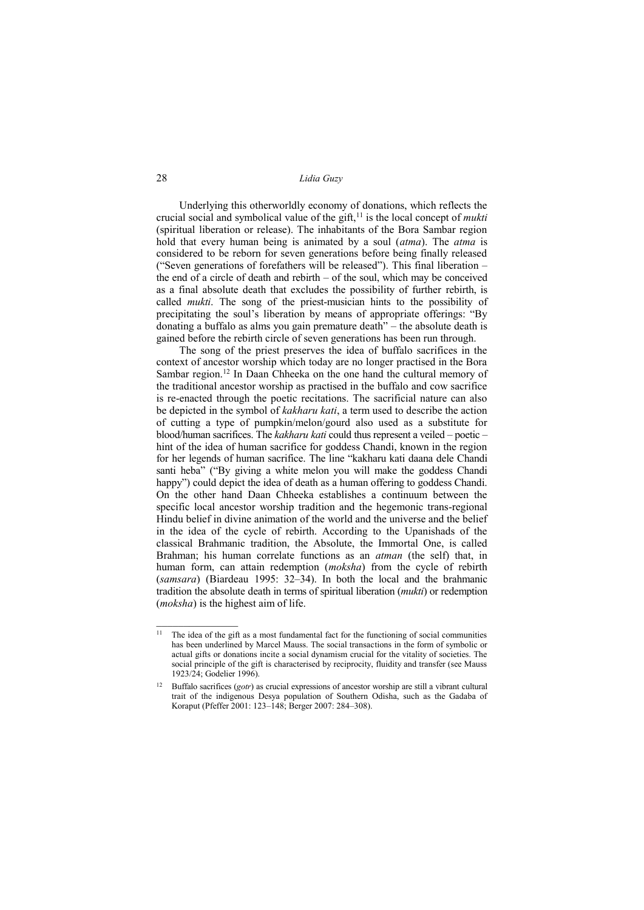## 28 *Lidia Guzy*

Underlying this otherworldly economy of donations, which reflects the crucial social and symbolical value of the gift,<sup>11</sup> is the local concept of *mukti* (spiritual liberation or release). The inhabitants of the Bora Sambar region hold that every human being is animated by a soul (*atma*). The *atma* is considered to be reborn for seven generations before being finally released ("Seven generations of forefathers will be released"). This final liberation – the end of a circle of death and rebirth – of the soul, which may be conceived as a final absolute death that excludes the possibility of further rebirth, is called *mukti*. The song of the priest-musician hints to the possibility of precipitating the soul's liberation by means of appropriate offerings: "By donating a buffalo as alms you gain premature death" *–* the absolute death is gained before the rebirth circle of seven generations has been run through.

The song of the priest preserves the idea of buffalo sacrifices in the context of ancestor worship which today are no longer practised in the Bora Sambar region.<sup>12</sup> In Daan Chheeka on the one hand the cultural memory of the traditional ancestor worship as practised in the buffalo and cow sacrifice is re-enacted through the poetic recitations. The sacrificial nature can also be depicted in the symbol of *kakharu kati*, a term used to describe the action of cutting a type of pumpkin/melon/gourd also used as a substitute for blood/human sacrifices. The *kakharu kati* could thus represent a veiled – poetic – hint of the idea of human sacrifice for goddess Chandi, known in the region for her legends of human sacrifice. The line "kakharu kati daana dele Chandi santi heba" ("By giving a white melon you will make the goddess Chandi happy") could depict the idea of death as a human offering to goddess Chandi. On the other hand Daan Chheeka establishes a continuum between the specific local ancestor worship tradition and the hegemonic trans-regional Hindu belief in divine animation of the world and the universe and the belief in the idea of the cycle of rebirth. According to the Upanishads of the classical Brahmanic tradition, the Absolute, the Immortal One, is called Brahman; his human correlate functions as an *atman* (the self) that, in human form, can attain redemption (*moksha*) from the cycle of rebirth (*samsara*) (Biardeau 1995: 32–34). In both the local and the brahmanic tradition the absolute death in terms of spiritual liberation (*mukti*) or redemption (*moksha*) is the highest aim of life.

<sup>&</sup>lt;sup>11</sup> The idea of the gift as a most fundamental fact for the functioning of social communities has been underlined by Marcel Mauss. The social transactions in the form of symbolic or actual gifts or donations incite a social dynamism crucial for the vitality of societies. The social principle of the gift is characterised by reciprocity, fluidity and transfer (see Mauss 1923/24; Godelier 1996).

<sup>12</sup> Buffalo sacrifices (*gotr*) as crucial expressions of ancestor worship are still a vibrant cultural trait of the indigenous Desya population of Southern Odisha, such as the Gadaba of Koraput (Pfeffer 2001: 123–148; Berger 2007: 284–308).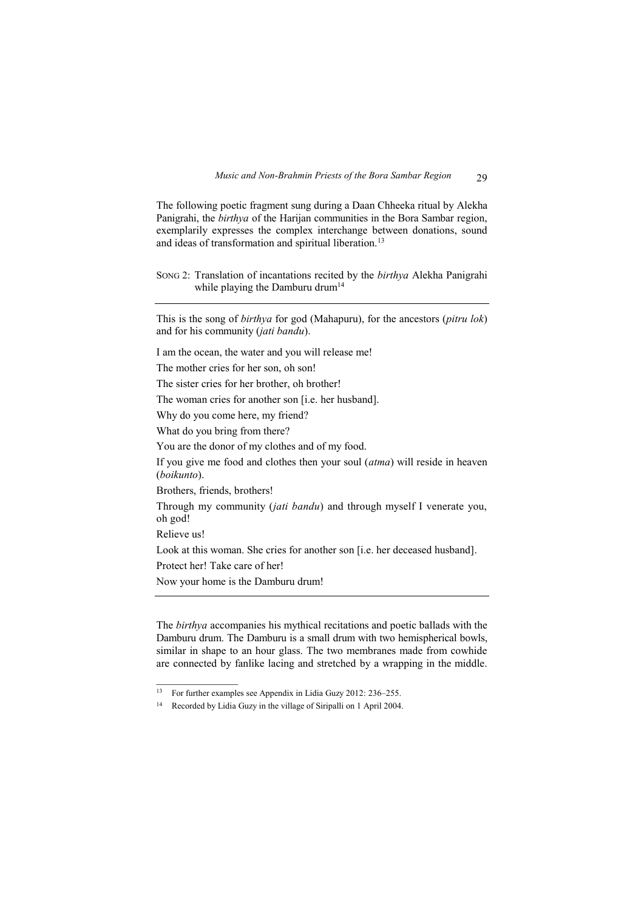The following poetic fragment sung during a Daan Chheeka ritual by Alekha Panigrahi, the *birthya* of the Harijan communities in the Bora Sambar region, exemplarily expresses the complex interchange between donations, sound and ideas of transformation and spiritual liberation.<sup>13</sup>

SONG 2: Translation of incantations recited by the *birthya* Alekha Panigrahi while playing the Damburu drum<sup>14</sup>

This is the song of *birthya* for god (Mahapuru), for the ancestors (*pitru lok*) and for his community (*jati bandu*).

I am the ocean, the water and you will release me!

The mother cries for her son, oh son!

The sister cries for her brother, oh brother!

The woman cries for another son [i.e. her husband].

Why do you come here, my friend?

What do you bring from there?

You are the donor of my clothes and of my food.

If you give me food and clothes then your soul (*atma*) will reside in heaven (*boikunto*).

Brothers, friends, brothers!

Through my community (*jati bandu*) and through myself I venerate you, oh god!

Relieve us!

Look at this woman. She cries for another son [i.e. her deceased husband].

Protect her! Take care of her!

 $\mathcal{L}=\mathcal{L}$ 

Now your home is the Damburu drum!

The *birthya* accompanies his mythical recitations and poetic ballads with the Damburu drum. The Damburu is a small drum with two hemispherical bowls, similar in shape to an hour glass. The two membranes made from cowhide are connected by fanlike lacing and stretched by a wrapping in the middle.

<sup>13</sup> For further examples see Appendix in Lidia Guzy 2012: 236–255.

<sup>14</sup> Recorded by Lidia Guzy in the village of Siripalli on 1 April 2004.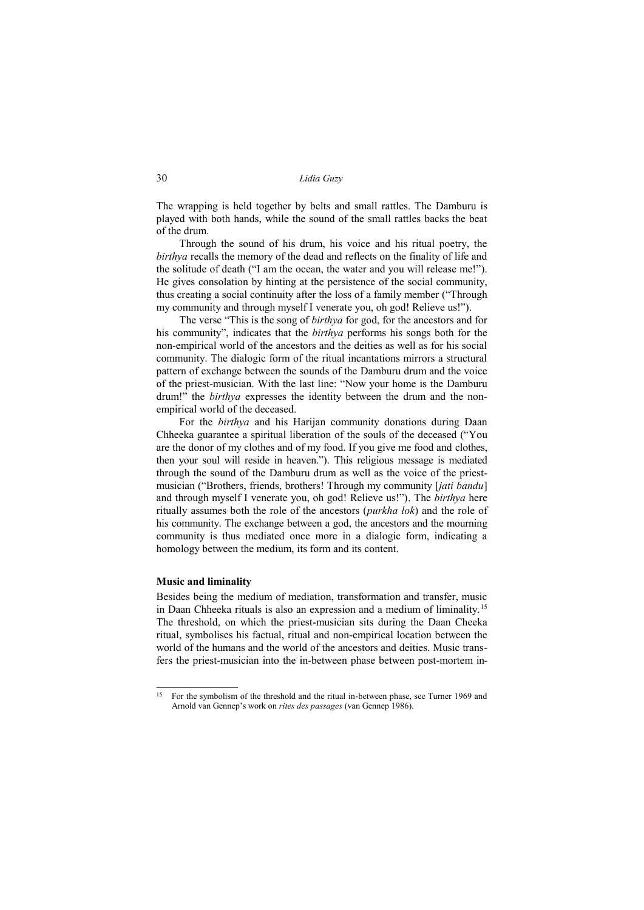The wrapping is held together by belts and small rattles. The Damburu is played with both hands, while the sound of the small rattles backs the beat of the drum.

Through the sound of his drum, his voice and his ritual poetry, the *birthya* recalls the memory of the dead and reflects on the finality of life and the solitude of death ("I am the ocean, the water and you will release me!"). He gives consolation by hinting at the persistence of the social community, thus creating a social continuity after the loss of a family member ("Through my community and through myself I venerate you, oh god! Relieve us!").

The verse "This is the song of *birthya* for god, for the ancestors and for his community", indicates that the *birthya* performs his songs both for the non-empirical world of the ancestors and the deities as well as for his social community. The dialogic form of the ritual incantations mirrors a structural pattern of exchange between the sounds of the Damburu drum and the voice of the priest-musician. With the last line: "Now your home is the Damburu drum!" the *birthya* expresses the identity between the drum and the nonempirical world of the deceased.

For the *birthya* and his Harijan community donations during Daan Chheeka guarantee a spiritual liberation of the souls of the deceased ("You are the donor of my clothes and of my food. If you give me food and clothes, then your soul will reside in heaven."). This religious message is mediated through the sound of the Damburu drum as well as the voice of the priestmusician ("Brothers, friends, brothers! Through my community [*jati bandu*] and through myself I venerate you, oh god! Relieve us!"). The *birthya* here ritually assumes both the role of the ancestors (*purkha lok*) and the role of his community. The exchange between a god, the ancestors and the mourning community is thus mediated once more in a dialogic form, indicating a homology between the medium, its form and its content.

## **Music and liminality**

 $\mathcal{L}=\mathcal{L}$ 

Besides being the medium of mediation, transformation and transfer, music in Daan Chheeka rituals is also an expression and a medium of liminality.<sup>15</sup> The threshold, on which the priest-musician sits during the Daan Cheeka ritual, symbolises his factual, ritual and non-empirical location between the world of the humans and the world of the ancestors and deities. Music transfers the priest-musician into the in-between phase between post-mortem in-

<sup>&</sup>lt;sup>15</sup> For the symbolism of the threshold and the ritual in-between phase, see Turner 1969 and Arnold van Gennep's work on *rites des passages* (van Gennep 1986).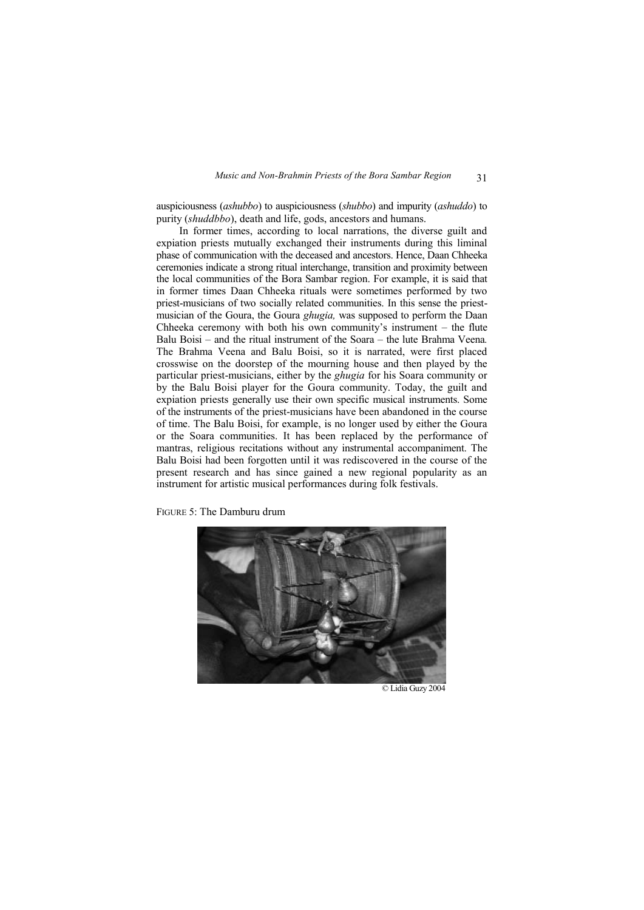auspiciousness (*ashubbo*) to auspiciousness (*shubbo*) and impurity (*ashuddo*) to purity (*shuddbbo*), death and life, gods, ancestors and humans.

In former times, according to local narrations, the diverse guilt and expiation priests mutually exchanged their instruments during this liminal phase of communication with the deceased and ancestors. Hence, Daan Chheeka ceremonies indicate a strong ritual interchange, transition and proximity between the local communities of the Bora Sambar region. For example, it is said that in former times Daan Chheeka rituals were sometimes performed by two priest-musicians of two socially related communities. In this sense the priestmusician of the Goura, the Goura *ghugia,* was supposed to perform the Daan Chheeka ceremony with both his own community's instrument – the flute Balu Boisi – and the ritual instrument of the Soara – the lute Brahma Veena*.*  The Brahma Veena and Balu Boisi, so it is narrated, were first placed crosswise on the doorstep of the mourning house and then played by the particular priest-musicians, either by the *ghugia* for his Soara community or by the Balu Boisi player for the Goura community. Today, the guilt and expiation priests generally use their own specific musical instruments. Some of the instruments of the priest-musicians have been abandoned in the course of time. The Balu Boisi, for example, is no longer used by either the Goura or the Soara communities. It has been replaced by the performance of mantras, religious recitations without any instrumental accompaniment. The Balu Boisi had been forgotten until it was rediscovered in the course of the present research and has since gained a new regional popularity as an instrument for artistic musical performances during folk festivals.

FIGURE 5: The Damburu drum



© Lidia Guzy 2004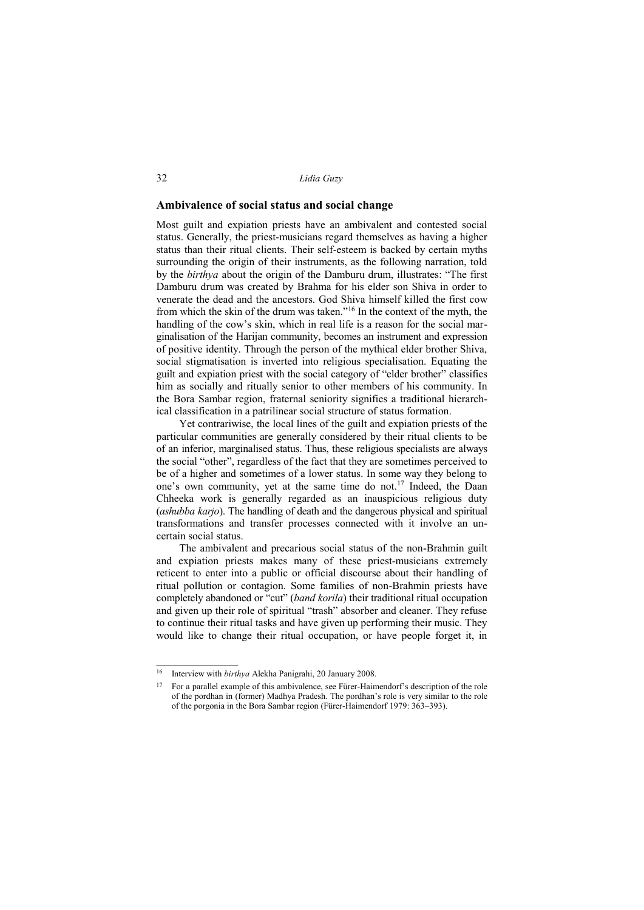# **Ambivalence of social status and social change**

Most guilt and expiation priests have an ambivalent and contested social status. Generally, the priest-musicians regard themselves as having a higher status than their ritual clients. Their self-esteem is backed by certain myths surrounding the origin of their instruments, as the following narration, told by the *birthya* about the origin of the Damburu drum, illustrates: "The first Damburu drum was created by Brahma for his elder son Shiva in order to venerate the dead and the ancestors. God Shiva himself killed the first cow from which the skin of the drum was taken."<sup>16</sup> In the context of the myth, the handling of the cow's skin, which in real life is a reason for the social marginalisation of the Harijan community, becomes an instrument and expression of positive identity. Through the person of the mythical elder brother Shiva, social stigmatisation is inverted into religious specialisation. Equating the guilt and expiation priest with the social category of "elder brother" classifies him as socially and ritually senior to other members of his community. In the Bora Sambar region, fraternal seniority signifies a traditional hierarchical classification in a patrilinear social structure of status formation.

Yet contrariwise, the local lines of the guilt and expiation priests of the particular communities are generally considered by their ritual clients to be of an inferior, marginalised status. Thus, these religious specialists are always the social "other", regardless of the fact that they are sometimes perceived to be of a higher and sometimes of a lower status. In some way they belong to one's own community, yet at the same time do not.<sup>17</sup> Indeed, the Daan Chheeka work is generally regarded as an inauspicious religious duty (*ashubba karjo*). The handling of death and the dangerous physical and spiritual transformations and transfer processes connected with it involve an uncertain social status.

The ambivalent and precarious social status of the non-Brahmin guilt and expiation priests makes many of these priest-musicians extremely reticent to enter into a public or official discourse about their handling of ritual pollution or contagion. Some families of non-Brahmin priests have completely abandoned or "cut" (*band korila*) their traditional ritual occupation and given up their role of spiritual "trash" absorber and cleaner. They refuse to continue their ritual tasks and have given up performing their music. They would like to change their ritual occupation, or have people forget it, in

<sup>16</sup> Interview with *birthya* Alekha Panigrahi, 20 January 2008.

<sup>&</sup>lt;sup>17</sup> For a parallel example of this ambivalence, see Fürer-Haimendorf's description of the role of the pordhan in (former) Madhya Pradesh. The pordhan's role is very similar to the role of the porgonia in the Bora Sambar region (Fürer-Haimendorf 1979: 363–393).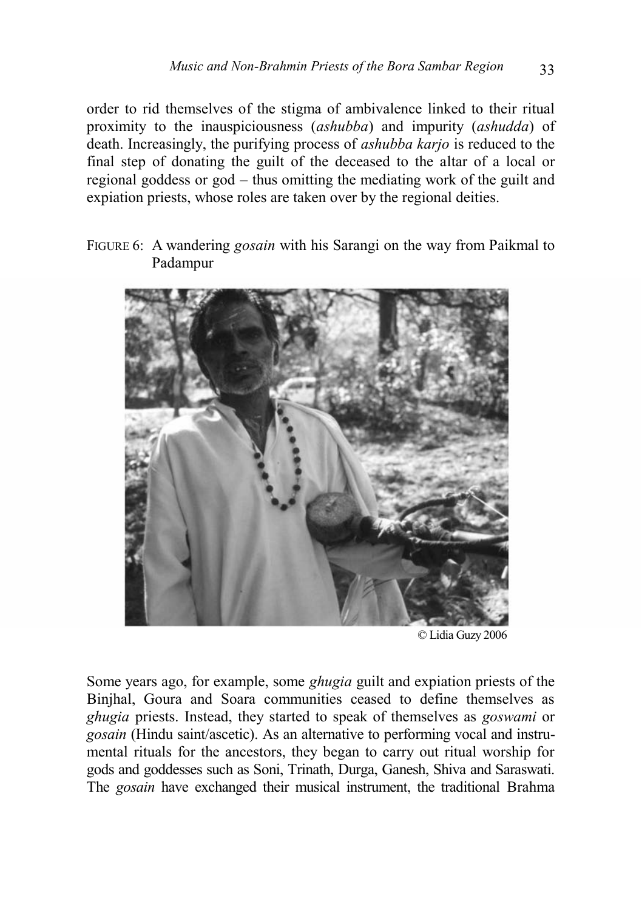order to rid themselves of the stigma of ambivalence linked to their ritual proximity to the inauspiciousness (*ashubba*) and impurity (*ashudda*) of death. Increasingly, the purifying process of *ashubba karjo* is reduced to the final step of donating the guilt of the deceased to the altar of a local or regional goddess or god – thus omitting the mediating work of the guilt and expiation priests, whose roles are taken over by the regional deities.

FIGURE 6: A wandering *gosain* with his Sarangi on the way from Paikmal to Padampur



© Lidia Guzy 2006

Some years ago, for example, some *ghugia* guilt and expiation priests of the Binjhal, Goura and Soara communities ceased to define themselves as *ghugia* priests. Instead, they started to speak of themselves as *goswami* or *gosain* (Hindu saint/ascetic). As an alternative to performing vocal and instrumental rituals for the ancestors, they began to carry out ritual worship for gods and goddesses such as Soni, Trinath, Durga, Ganesh, Shiva and Saraswati. The *gosain* have exchanged their musical instrument, the traditional Brahma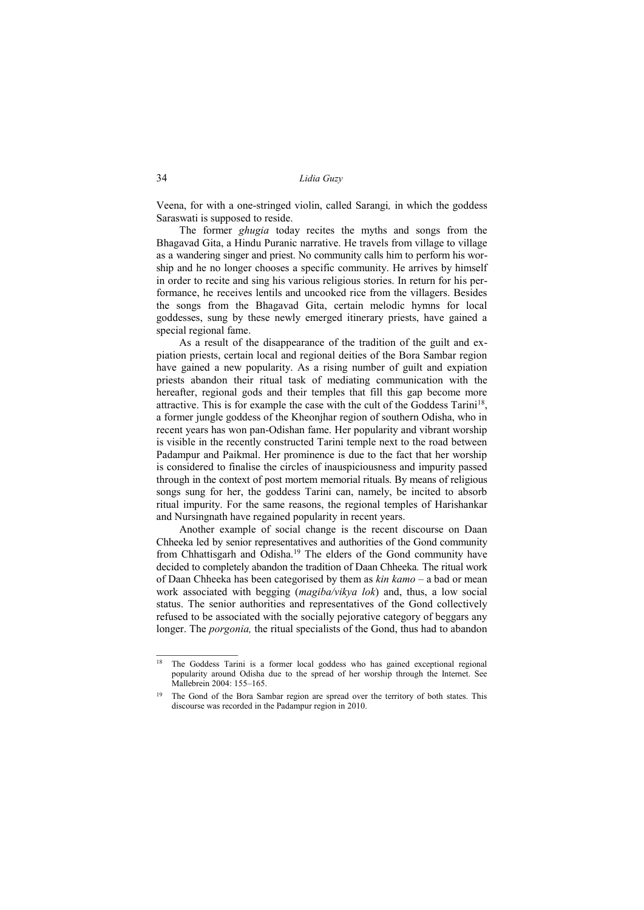Veena, for with a one-stringed violin, called Sarangi*,* in which the goddess Saraswati is supposed to reside.

The former *ghugia* today recites the myths and songs from the Bhagavad Gita, a Hindu Puranic narrative. He travels from village to village as a wandering singer and priest. No community calls him to perform his worship and he no longer chooses a specific community. He arrives by himself in order to recite and sing his various religious stories. In return for his performance, he receives lentils and uncooked rice from the villagers. Besides the songs from the Bhagavad Gita, certain melodic hymns for local goddesses, sung by these newly emerged itinerary priests, have gained a special regional fame.

As a result of the disappearance of the tradition of the guilt and expiation priests, certain local and regional deities of the Bora Sambar region have gained a new popularity. As a rising number of guilt and expiation priests abandon their ritual task of mediating communication with the hereafter, regional gods and their temples that fill this gap become more attractive. This is for example the case with the cult of the Goddess Tarini<sup>18</sup>, a former jungle goddess of the Kheonjhar region of southern Odisha, who in recent years has won pan-Odishan fame. Her popularity and vibrant worship is visible in the recently constructed Tarini temple next to the road between Padampur and Paikmal. Her prominence is due to the fact that her worship is considered to finalise the circles of inauspiciousness and impurity passed through in the context of post mortem memorial rituals. By means of religious songs sung for her, the goddess Tarini can, namely, be incited to absorb ritual impurity. For the same reasons, the regional temples of Harishankar and Nursingnath have regained popularity in recent years.

Another example of social change is the recent discourse on Daan Chheeka led by senior representatives and authorities of the Gond community from Chhattisgarh and Odisha.<sup>19</sup> The elders of the Gond community have decided to completely abandon the tradition of Daan Chheeka*.* The ritual work of Daan Chheeka has been categorised by them as *kin kamo* – a bad or mean work associated with begging (*magiba/vikya lok*) and, thus, a low social status. The senior authorities and representatives of the Gond collectively refused to be associated with the socially pejorative category of beggars any longer. The *porgonia,* the ritual specialists of the Gond, thus had to abandon

<sup>&</sup>lt;sup>18</sup> The Goddess Tarini is a former local goddess who has gained exceptional regional popularity around Odisha due to the spread of her worship through the Internet. See Mallebrein 2004: 155–165.

<sup>&</sup>lt;sup>19</sup> The Gond of the Bora Sambar region are spread over the territory of both states. This discourse was recorded in the Padampur region in 2010.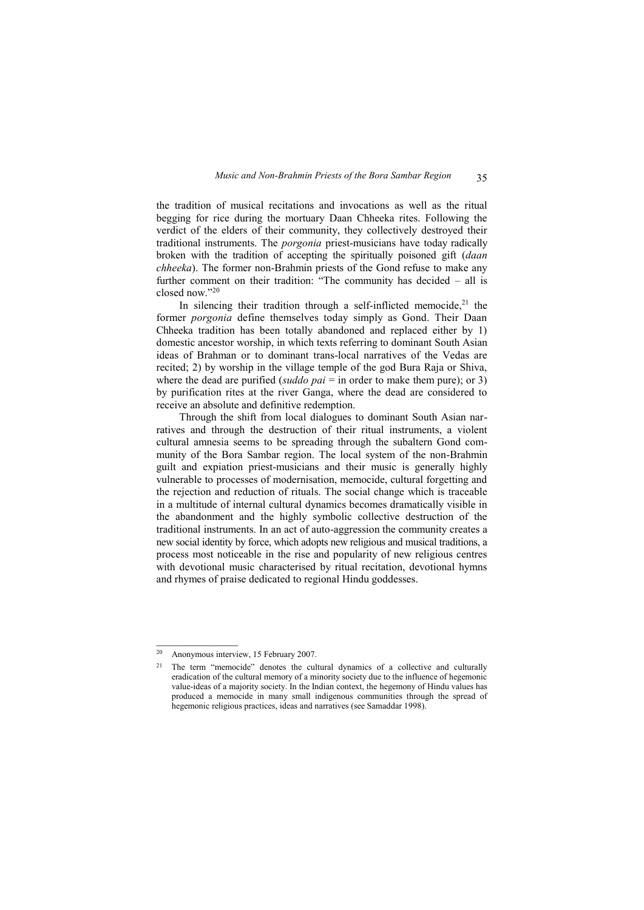the tradition of musical recitations and invocations as well as the ritual begging for rice during the mortuary Daan Chheeka rites. Following the verdict of the elders of their community, they collectively destroyed their traditional instruments. The *porgonia* priest-musicians have today radically broken with the tradition of accepting the spiritually poisoned gift (*daan chheeka*). The former non-Brahmin priests of the Gond refuse to make any further comment on their tradition: "The community has decided – all is closed now."<sup>20</sup>

In silencing their tradition through a self-inflicted memocide.<sup>21</sup> the former *porgonia* define themselves today simply as Gond. Their Daan Chheeka tradition has been totally abandoned and replaced either by 1) domestic ancestor worship, in which texts referring to dominant South Asian ideas of Brahman or to dominant trans-local narratives of the Vedas are recited; 2) by worship in the village temple of the god Bura Raja or Shiva, where the dead are purified (*suddo pai* = in order to make them pure); or 3) by purification rites at the river Ganga, where the dead are considered to receive an absolute and definitive redemption.

Through the shift from local dialogues to dominant South Asian narratives and through the destruction of their ritual instruments, a violent cultural amnesia seems to be spreading through the subaltern Gond community of the Bora Sambar region. The local system of the non-Brahmin guilt and expiation priest-musicians and their music is generally highly vulnerable to processes of modernisation, memocide, cultural forgetting and the rejection and reduction of rituals. The social change which is traceable in a multitude of internal cultural dynamics becomes dramatically visible in the abandonment and the highly symbolic collective destruction of the traditional instruments. In an act of auto-aggression the community creates a new social identity by force, which adopts new religious and musical traditions, a process most noticeable in the rise and popularity of new religious centres with devotional music characterised by ritual recitation, devotional hymns and rhymes of praise dedicated to regional Hindu goddesses.

<sup>20</sup> Anonymous interview, 15 February 2007.

<sup>&</sup>lt;sup>21</sup> The term "memocide" denotes the cultural dynamics of a collective and culturally eradication of the cultural memory of a minority society due to the influence of hegemonic value-ideas of a majority society. In the Indian context, the hegemony of Hindu values has produced a memocide in many small indigenous communities through the spread of hegemonic religious practices, ideas and narratives (see Samaddar 1998).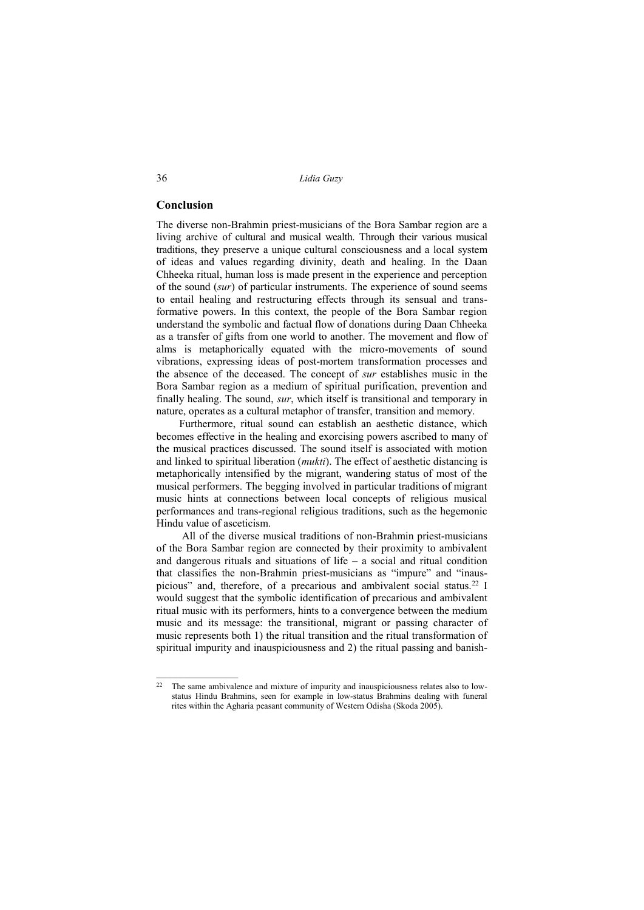## **Conclusion**

 $\mathcal{L}$  , we have the set of  $\mathcal{L}$ 

The diverse non-Brahmin priest-musicians of the Bora Sambar region are a living archive of cultural and musical wealth. Through their various musical traditions, they preserve a unique cultural consciousness and a local system of ideas and values regarding divinity, death and healing. In the Daan Chheeka ritual, human loss is made present in the experience and perception of the sound (*sur*) of particular instruments. The experience of sound seems to entail healing and restructuring effects through its sensual and transformative powers. In this context, the people of the Bora Sambar region understand the symbolic and factual flow of donations during Daan Chheeka as a transfer of gifts from one world to another. The movement and flow of alms is metaphorically equated with the micro-movements of sound vibrations, expressing ideas of post-mortem transformation processes and the absence of the deceased. The concept of *sur* establishes music in the Bora Sambar region as a medium of spiritual purification, prevention and finally healing. The sound, *sur*, which itself is transitional and temporary in nature, operates as a cultural metaphor of transfer, transition and memory.

Furthermore, ritual sound can establish an aesthetic distance, which becomes effective in the healing and exorcising powers ascribed to many of the musical practices discussed. The sound itself is associated with motion and linked to spiritual liberation (*mukti*). The effect of aesthetic distancing is metaphorically intensified by the migrant, wandering status of most of the musical performers. The begging involved in particular traditions of migrant music hints at connections between local concepts of religious musical performances and trans-regional religious traditions, such as the hegemonic Hindu value of asceticism.

 All of the diverse musical traditions of non-Brahmin priest-musicians of the Bora Sambar region are connected by their proximity to ambivalent and dangerous rituals and situations of life  $-$  a social and ritual condition that classifies the non-Brahmin priest-musicians as "impure" and "inauspicious" and, therefore, of a precarious and ambivalent social status.<sup>22</sup> I would suggest that the symbolic identification of precarious and ambivalent ritual music with its performers, hints to a convergence between the medium music and its message: the transitional, migrant or passing character of music represents both 1) the ritual transition and the ritual transformation of spiritual impurity and inauspiciousness and 2) the ritual passing and banish-

<sup>&</sup>lt;sup>22</sup> The same ambivalence and mixture of impurity and inauspiciousness relates also to lowstatus Hindu Brahmins, seen for example in low-status Brahmins dealing with funeral rites within the Agharia peasant community of Western Odisha (Skoda 2005).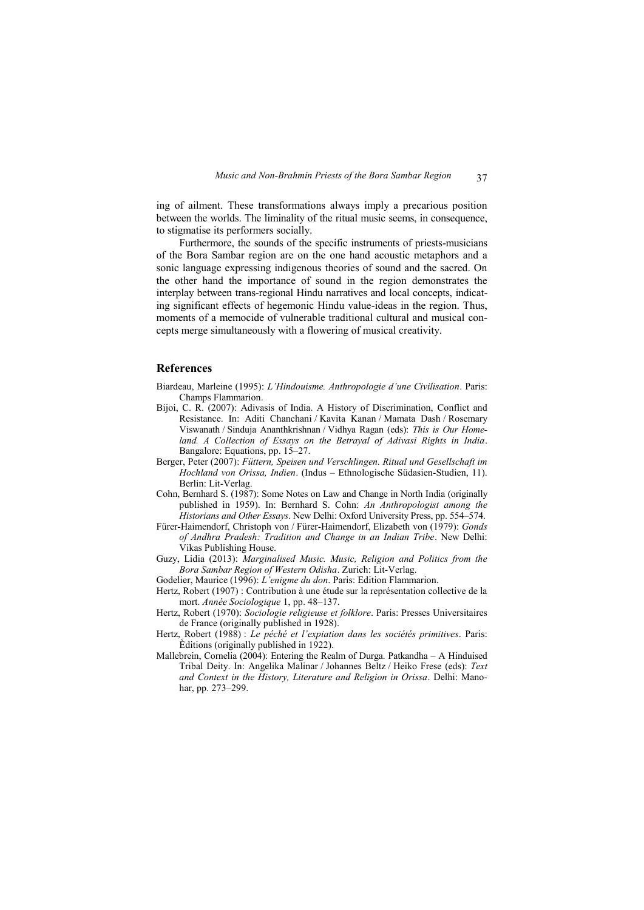ing of ailment. These transformations always imply a precarious position between the worlds. The liminality of the ritual music seems, in consequence, to stigmatise its performers socially.

Furthermore, the sounds of the specific instruments of priests-musicians of the Bora Sambar region are on the one hand acoustic metaphors and a sonic language expressing indigenous theories of sound and the sacred. On the other hand the importance of sound in the region demonstrates the interplay between trans-regional Hindu narratives and local concepts, indicating significant effects of hegemonic Hindu value-ideas in the region. Thus, moments of a memocide of vulnerable traditional cultural and musical concepts merge simultaneously with a flowering of musical creativity.

# **References**

- Biardeau, Marleine (1995): *L'Hindouisme. Anthropologie d'une Civilisation*. Paris: Champs Flammarion.
- Bijoi, C. R. (2007): Adivasis of India. A History of Discrimination, Conflict and Resistance. In: Aditi Chanchani / Kavita Kanan / Mamata Dash / Rosemary Viswanath / Sinduja Ananthkrishnan / Vidhya Ragan (eds): *This is Our Homeland. A Collection of Essays on the Betrayal of Adivasi Rights in India*. Bangalore: Equations, pp. 15–27.
- Berger, Peter (2007): *Füttern, Speisen und Verschlingen. Ritual und Gesellschaft im Hochland von Orissa, Indien*. (Indus – Ethnologische Südasien-Studien, 11). Berlin: Lit-Verlag.
- Cohn, Bernhard S. (1987): Some Notes on Law and Change in North India (originally published in 1959). In: Bernhard S. Cohn: *An Anthropologist among the Historians and Other Essays*. New Delhi: Oxford University Press, pp. 554–574.
- Fürer-Haimendorf, Christoph von / Fürer-Haimendorf, Elizabeth von (1979): *Gonds of Andhra Pradesh: Tradition and Change in an Indian Tribe*. New Delhi: Vikas Publishing House.
- Guzy, Lidia (2013): *Marginalised Music. Music, Religion and Politics from the Bora Sambar Region of Western Odisha*. Zurich: Lit-Verlag.
- Godelier, Maurice (1996): *L'enigme du don*. Paris: Edition Flammarion.
- Hertz, Robert (1907) : Contribution à une étude sur la représentation collective de la mort. *Année Sociologique* 1, pp. 48–137.
- Hertz, Robert (1970): *Sociologie religieuse et folklore*. Paris: Presses Universitaires de France (originally published in 1928).
- Hertz, Robert (1988) : *Le péché et l'expiation dans les sociétés primitives*. Paris: Èditions (originally published in 1922).
- Mallebrein, Cornelia (2004): Entering the Realm of Durga. Patkandha A Hinduised Tribal Deity. In: Angelika Malinar / Johannes Beltz / Heiko Frese (eds): *Text and Context in the History, Literature and Religion in Orissa*. Delhi: Manohar, pp. 273–299.